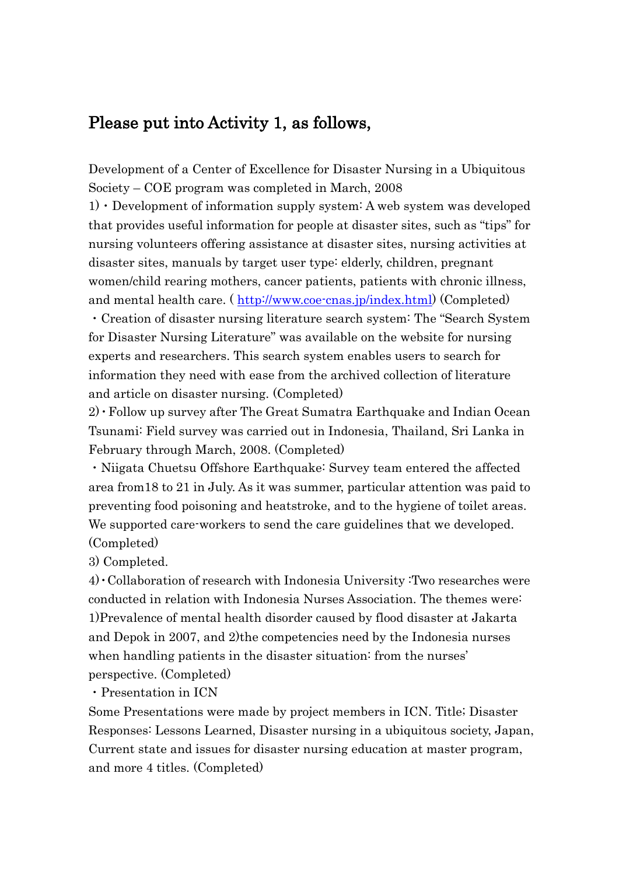#### Please put into Activity 1, as follows,

Development of a Center of Excellence for Disaster Nursing in a Ubiquitous Society – COE program was completed in March, 2008

 $1) \cdot$  Development of information supply system: A web system was developed that provides useful information for people at disaster sites, such as "tips" for nursing volunteers offering assistance at disaster sites, nursing activities at disaster sites, manuals by target user type: elderly, children, pregnant women/child rearing mothers, cancer patients, patients with chronic illness, and mental health care. (http://www.coe-cnas.jp/index.html) (Completed)

・Creation of disaster nursing literature search system: The "Search System for Disaster Nursing Literature" was available on the website for nursing experts and researchers. This search system enables users to search for information they need with ease from the archived collection of literature and article on disaster nursing. (Completed)

2)・Follow up survey after The Great Sumatra Earthquake and Indian Ocean Tsunami: Field survey was carried out in Indonesia, Thailand, Sri Lanka in February through March, 2008. (Completed)

・Niigata Chuetsu Offshore Earthquake: Survey team entered the affected area from18 to 21 in July. As it was summer, particular attention was paid to preventing food poisoning and heatstroke, and to the hygiene of toilet areas. We supported care-workers to send the care guidelines that we developed. (Completed)

3) Completed.

4)・Collaboration of research with Indonesia University :Two researches were conducted in relation with Indonesia Nurses Association. The themes were: 1)Prevalence of mental health disorder caused by flood disaster at Jakarta and Depok in 2007, and 2)the competencies need by the Indonesia nurses when handling patients in the disaster situation: from the nurses' perspective. (Completed)

・Presentation in ICN

Some Presentations were made by project members in ICN. Title; Disaster Responses: Lessons Learned, Disaster nursing in a ubiquitous society, Japan, Current state and issues for disaster nursing education at master program, and more 4 titles. (Completed)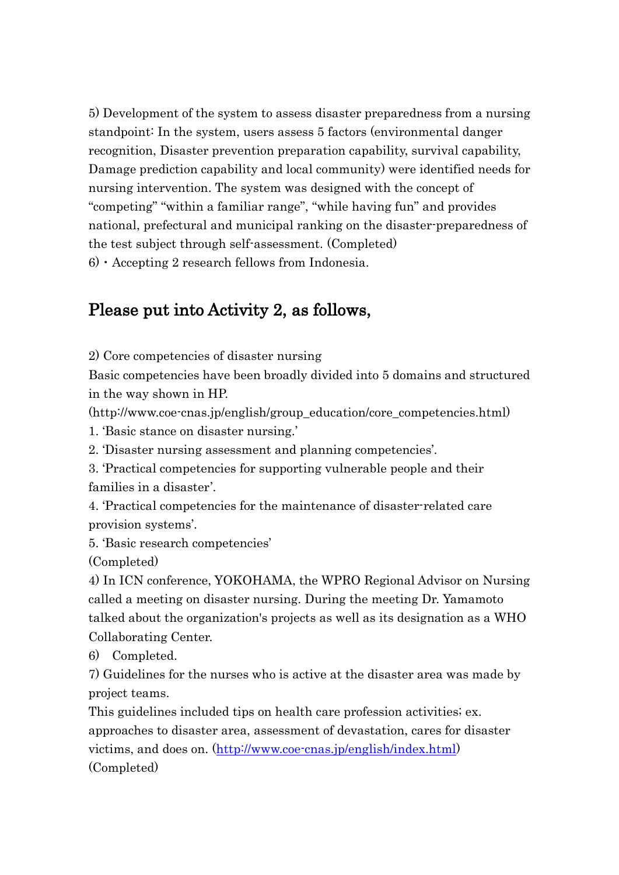5) Development of the system to assess disaster preparedness from a nursing standpoint: In the system, users assess 5 factors (environmental danger recognition, Disaster prevention preparation capability, survival capability, Damage prediction capability and local community) were identified needs for nursing intervention. The system was designed with the concept of "competing" "within a familiar range", "while having fun" and provides national, prefectural and municipal ranking on the disaster-preparedness of the test subject through self-assessment. (Completed)

 $6)$   $\cdot$  Accepting 2 research fellows from Indonesia.

## Please put into Activity 2, as follows,

2) Core competencies of disaster nursing

Basic competencies have been broadly divided into 5 domains and structured in the way shown in HP.

(http://www.coe-cnas.jp/english/group\_education/core\_competencies.html)

1. 'Basic stance on disaster nursing.'

2. 'Disaster nursing assessment and planning competencies'.

3. 'Practical competencies for supporting vulnerable people and their families in a disaster'.

4. 'Practical competencies for the maintenance of disaster-related care provision systems'.

5. 'Basic research competencies'

(Completed)

4) In ICN conference, YOKOHAMA, the WPRO Regional Advisor on Nursing called a meeting on disaster nursing. During the meeting Dr. Yamamoto talked about the organization's projects as well as its designation as a WHO Collaborating Center.

6) Completed.

7) Guidelines for the nurses who is active at the disaster area was made by project teams.

This guidelines included tips on health care profession activities; ex. approaches to disaster area, assessment of devastation, cares for disaster victims, and does on. [\(http://www.coe-cnas.jp/english/index.html\)](http://www.coe-cnas.jp/english/index.html) (Completed)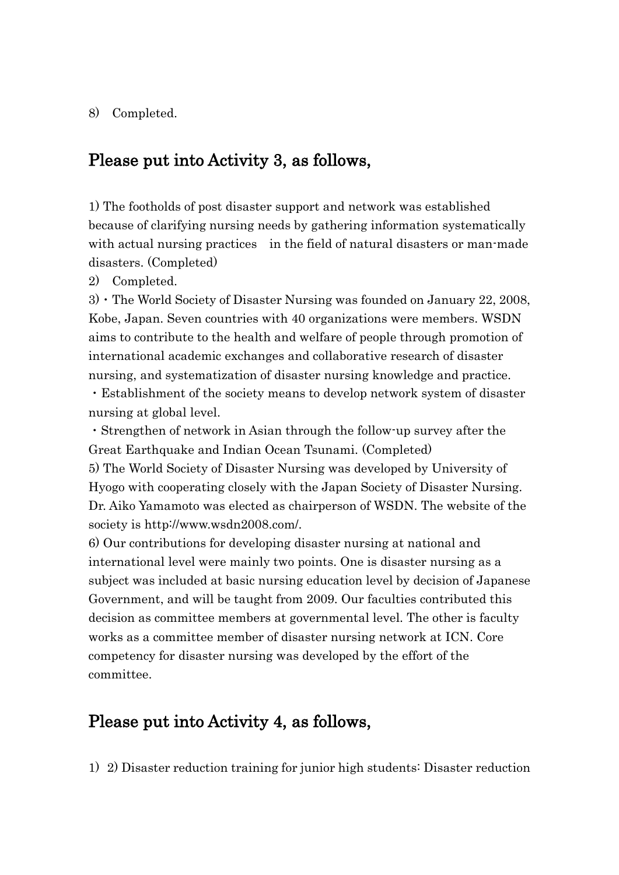#### 8) Completed.

#### Please put into Activity 3, as follows,

1) The footholds of post disaster support and network was established because of clarifying nursing needs by gathering information systematically with actual nursing practices in the field of natural disasters or man-made disasters. (Completed)

2) Completed.

3)  $\cdot$  The World Society of Disaster Nursing was founded on January 22, 2008, Kobe, Japan. Seven countries with 40 organizations were members. WSDN aims to contribute to the health and welfare of people through promotion of international academic exchanges and collaborative research of disaster nursing, and systematization of disaster nursing knowledge and practice.

・Establishment of the society means to develop network system of disaster nursing at global level.

・Strengthen of network in Asian through the follow-up survey after the Great Earthquake and Indian Ocean Tsunami. (Completed)

5) The World Society of Disaster Nursing was developed by University of Hyogo with cooperating closely with the Japan Society of Disaster Nursing. Dr. Aiko Yamamoto was elected as chairperson of WSDN. The website of the society is http://www.wsdn2008.com/.

6) Our contributions for developing disaster nursing at national and international level were mainly two points. One is disaster nursing as a subject was included at basic nursing education level by decision of Japanese Government, and will be taught from 2009. Our faculties contributed this decision as committee members at governmental level. The other is faculty works as a committee member of disaster nursing network at ICN. Core competency for disaster nursing was developed by the effort of the committee.

#### Please put into Activity 4, as follows,

1) 2) Disaster reduction training for junior high students: Disaster reduction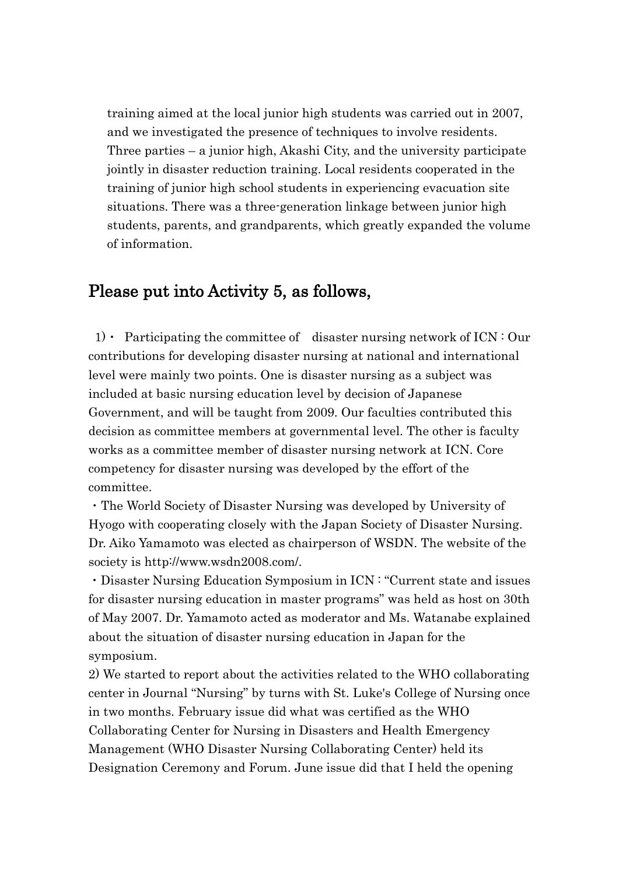training aimed at the local junior high students was carried out in 2007, and we investigated the presence of techniques to involve residents. Three parties – a junior high, Akashi City, and the university participate jointly in disaster reduction training. Local residents cooperated in the training of junior high school students in experiencing evacuation site situations. There was a three-generation linkage between junior high students, parents, and grandparents, which greatly expanded the volume of information.

#### Please put into Activity 5, as follows,

1) • Participating the committee of disaster nursing network of  $ICN : Our$ contributions for developing disaster nursing at national and international level were mainly two points. One is disaster nursing as a subject was included at basic nursing education level by decision of Japanese Government, and will be taught from 2009. Our faculties contributed this decision as committee members at governmental level. The other is faculty works as a committee member of disaster nursing network at ICN. Core competency for disaster nursing was developed by the effort of the committee.

・The World Society of Disaster Nursing was developed by University of Hyogo with cooperating closely with the Japan Society of Disaster Nursing. Dr. Aiko Yamamoto was elected as chairperson of WSDN. The website of the society is http://www.wsdn2008.com/.

・Disaster Nursing Education Symposium in ICN : "Current state and issues for disaster nursing education in master programs" was held as host on 30th of May 2007. Dr. Yamamoto acted as moderator and Ms. Watanabe explained about the situation of disaster nursing education in Japan for the symposium.

2) We started to report about the activities related to the WHO collaborating center in Journal "Nursing" by turns with St. Luke's College of Nursing once in two months. February issue did what was certified as the WHO Collaborating Center for Nursing in Disasters and Health Emergency Management (WHO Disaster Nursing Collaborating Center) held its Designation Ceremony and Forum. June issue did that I held the opening